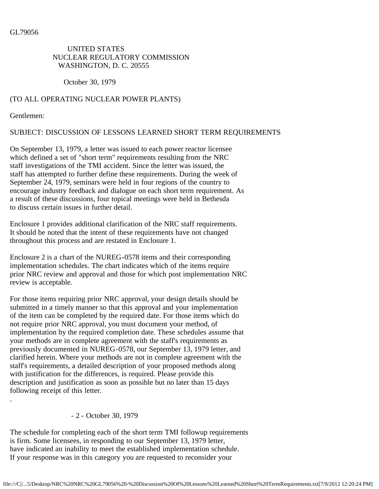GL79056

## UNITED STATES NUCLEAR REGULATORY COMMISSION WASHINGTON, D. C. 20555

October 30, 1979

## (TO ALL OPERATING NUCLEAR POWER PLANTS)

Gentlemen:

.

## SUBJECT: DISCUSSION OF LESSONS LEARNED SHORT TERM REQUIREMENTS

On September 13, 1979, a letter was issued to each power reactor licensee which defined a set of "short term" requirements resulting from the NRC staff investigations of the TMI accident. Since the letter was issued, the staff has attempted to further define these requirements. During the week of September 24, 1979, seminars were held in four regions of the country to encourage industry feedback and dialogue on each short term requirement. As a result of these discussions, four topical meetings were held in Bethesda to discuss certain issues in further detail.

Enclosure 1 provides additional clarification of the NRC staff requirements. It should be noted that the intent of these requirements have not changed throughout this process and are restated in Enclosure 1.

Enclosure 2 is a chart of the NUREG-0578 items and their corresponding implementation schedules. The chart indicates which of the items require prior NRC review and approval and those for which post implementation NRC review is acceptable.

For those items requiring prior NRC approval, your design details should be submitted in a timely manner so that this approval and your implementation of the item can be completed by the required date. For those items which do not require prior NRC approval, you must document your method, of implementation by the required completion date. These schedules assume that your methods are in complete agreement with the staff's requirements as previously documented in NUREG-0578, our September 13, 1979 letter, and clarified herein. Where your methods are not in complete agreement with the staff's requirements, a detailed description of your proposed methods along with justification for the differences, is required. Please provide this description and justification as soon as possible but no later than 15 days following receipt of this letter.

## - 2 - October 30, 1979

The schedule for completing each of the short term TMI followup requirements is firm. Some licensees, in responding to our September 13, 1979 letter, have indicated an inability to meet the established implementation schedule. If your response was in this category you are requested to reconsider your